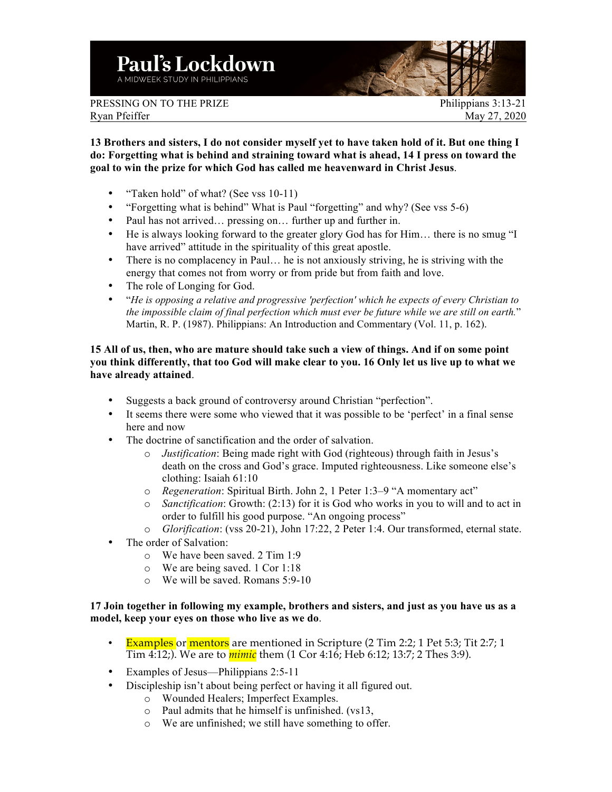

PRESSING ON TO THE PRIZE PHILIPPIAN PHILIPPIANS 3:13-21 Ryan Pfeiffer May 27, 2020

**13 Brothers and sisters, I do not consider myself yet to have taken hold of it. But one thing I do: Forgetting what is behind and straining toward what is ahead, 14 I press on toward the goal to win the prize for which God has called me heavenward in Christ Jesus**.

- "Taken hold" of what? (See vss 10-11)
- "Forgetting what is behind" What is Paul "forgetting" and why? (See vss 5-6)
- Paul has not arrived... pressing on... further up and further in.
- He is always looking forward to the greater glory God has for Him… there is no smug "I have arrived" attitude in the spirituality of this great apostle.
- There is no complacency in Paul... he is not anxiously striving, he is striving with the energy that comes not from worry or from pride but from faith and love.
- The role of Longing for God.
- "*He is opposing a relative and progressive 'perfection' which he expects of every Christian to the impossible claim of final perfection which must ever be future while we are still on earth.*" Martin, R. P. (1987). Philippians: An Introduction and Commentary (Vol. 11, p. 162).

## **15 All of us, then, who are mature should take such a view of things. And if on some point you think differently, that too God will make clear to you. 16 Only let us live up to what we have already attained**.

- Suggests a back ground of controversy around Christian "perfection".
- It seems there were some who viewed that it was possible to be 'perfect' in a final sense here and now
- The doctrine of sanctification and the order of salvation.
	- o *Justification*: Being made right with God (righteous) through faith in Jesus's death on the cross and God's grace. Imputed righteousness. Like someone else's clothing: Isaiah 61:10
	- o *Regeneration*: Spiritual Birth. John 2, 1 Peter 1:3–9 "A momentary act"
	- o *Sanctification*: Growth: (2:13) for it is God who works in you to will and to act in order to fulfill his good purpose. "An ongoing process"
	- o *Glorification*: (vss 20-21), John 17:22, 2 Peter 1:4. Our transformed, eternal state.
- The order of Salvation:
	- o We have been saved. 2 Tim 1:9
	- o We are being saved. 1 Cor 1:18
	- o We will be saved. Romans 5:9-10

## **17 Join together in following my example, brothers and sisters, and just as you have us as a model, keep your eyes on those who live as we do**.

- Examples or mentors are mentioned in Scripture (2 Tim 2:2; 1 Pet 5:3; Tit 2:7; 1 Tim 4:12;). We are to *mimic* them (1 Cor 4:16; Heb 6:12; 13:7; 2 Thes 3:9).
- Examples of Jesus—Philippians 2:5-11
- Discipleship isn't about being perfect or having it all figured out.
	- o Wounded Healers; Imperfect Examples.
	- o Paul admits that he himself is unfinished. (vs13,
	- o We are unfinished; we still have something to offer.